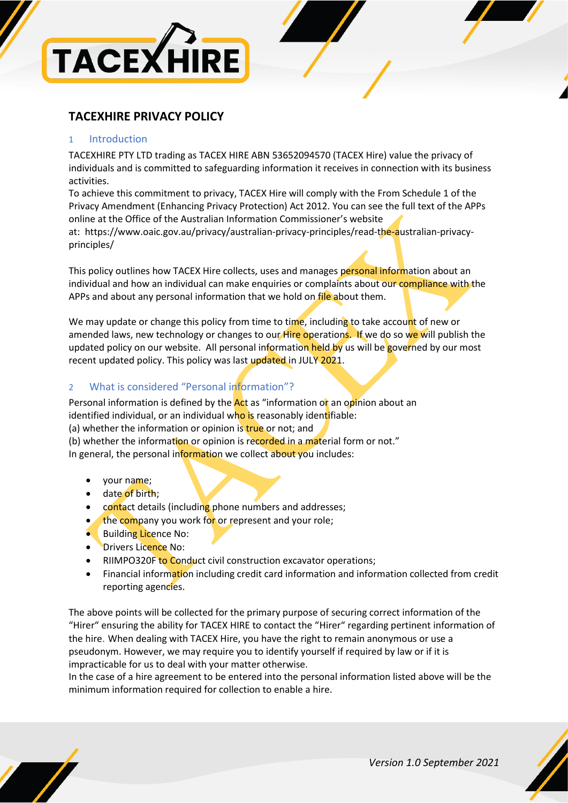

# **TACEXHIRE PRIVACY POLICY**

#### 1 Introduction

TACEXHIRE PTY LTD trading as TACEX HIRE ABN 53652094570 (TACEX Hire) value the privacy of individuals and is committed to safeguarding information it receives in connection with its business activities.

To achieve this commitment to privacy, TACEX Hire will comply with the From Schedule 1 of the Privacy Amendment (Enhancing Privacy Protection) Act 2012. You can see the full text of the APPs online at the Office of the Australian Information Commissioner's website

at: [https://www.oaic.gov.au/privacy/australian-privacy-principles/read-the-australian-privacy](https://www.oaic.gov.au/privacy/australian-privacy-principles/read-the-australian-privacy-principles/)[principles/](https://www.oaic.gov.au/privacy/australian-privacy-principles/read-the-australian-privacy-principles/) 

This policy outlines how TACEX Hire collects, uses and manages personal information about an individual and how an individual can make enquiries or complaints about our compliance with the APPs and about any personal information that we hold on file about them.

We may update or change this policy from time to time, including to take account of new or amended laws, new technology or changes to our Hire operations. If we do so we will publish the updated policy on our website. All personal information held by us will be governed by our most recent updated policy. This policy was last updated in JULY 2021.

# 2 What is considered "Personal information"?

Personal information is defined by the  $Act$  as "information or an opinion about an identified individual, or an individual who is reasonably identifiable: (a) whether the information or opinion is true or not; and (b) whether the information or opinion is recorded in a material form or not."

In general, the personal information we collect about you includes:

- your name;
- date of birth;
- contact details (including phone numbers and addresses;
- the company you work for or represent and your role;
- Building Licence No:
- Drivers Licence No:
- RIIMPO320F to Conduct civil construction excavator operations;
- Financial information including credit card information and information collected from credit reporting agencies.

The above points will be collected for the primary purpose of securing correct information of the "Hirer" ensuring the ability for TACEX HIRE to contact the "Hirer" regarding pertinent information of the hire. When dealing with TACEX Hire, you have the right to remain anonymous or use a pseudonym. However, we may require you to identify yourself if required by law or if it is impracticable for us to deal with your matter otherwise.

In the case of a hire agreement to be entered into the personal information listed above will be the minimum information required for collection to enable a hire.

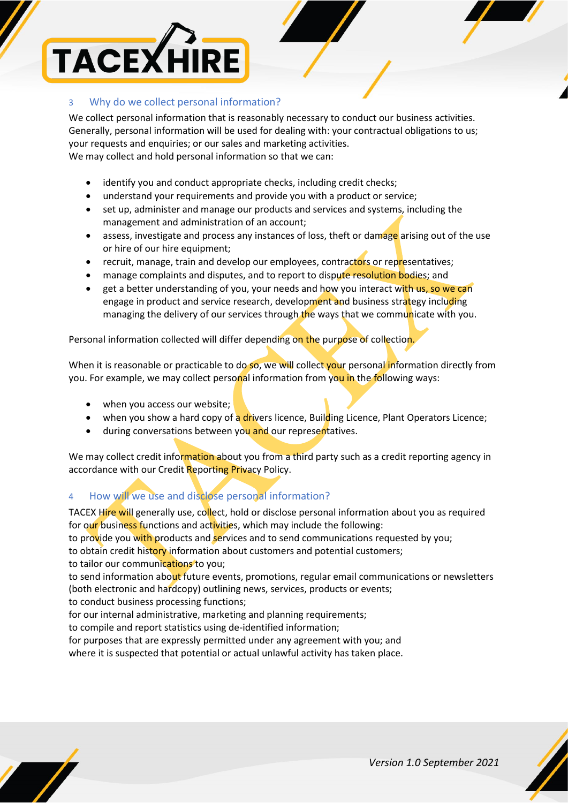

#### 3 Why do we collect personal information?

We collect personal information that is reasonably necessary to conduct our business activities. Generally, personal information will be used for dealing with: your contractual obligations to us; your requests and enquiries; or our sales and marketing activities. We may collect and hold personal information so that we can:

- identify you and conduct appropriate checks, including credit checks;
- understand your requirements and provide you with a product or service;
- set up, administer and manage our products and services and systems, including the management and administration of an account;
- assess, investigate and process any instances of loss, theft or damage arising out of the use or hire of our hire equipment;
- recruit, manage, train and develop our employees, contractors or representatives;
- manage complaints and disputes, and to report to dispute resolution bodies; and
- get a better understanding of you, your needs and how you interact with us, so we can engage in product and service research, development and business strategy including managing the delivery of our services through the ways that we communicate with you.

Personal information collected will differ depending on the purpose of collection.

When it is reasonable or practicable to do so, we will collect your personal information directly from you. For example, we may collect personal information from you in the following ways:

- when you access our website;
- when you show a hard copy of a drivers licence, Building Licence, Plant Operators Licence;
- during conversations between you and our representatives.

We may collect credit information about you from a third party such as a credit reporting agency in accordance with our Credit Reporting Privacy Policy.

# 4 How will we use and disclose personal information?

TACEX Hire will generally use, collect, hold or disclose personal information about you as required for our business functions and activities, which may include the following:

to provide you with products and services and to send communications requested by you;

to obtain credit history information about customers and potential customers;

to tailor our communications to you;

to send information about future events, promotions, regular email communications or newsletters (both electronic and hardcopy) outlining news, services, products or events;

to conduct business processing functions;

for our internal administrative, marketing and planning requirements;

to compile and report statistics using de-identified information;

for purposes that are expressly permitted under any agreement with you; and

where it is suspected that potential or actual unlawful activity has taken place.

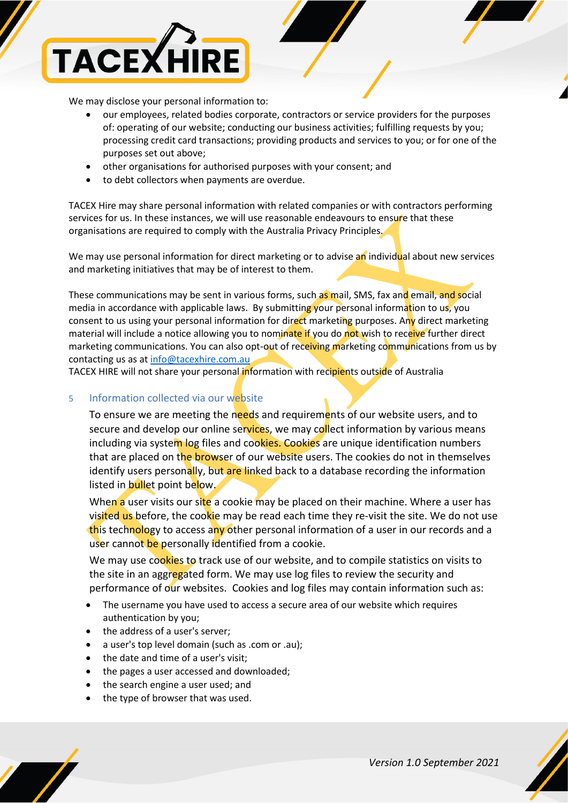

We may disclose your personal information to:

- our employees, related bodies corporate, contractors or service providers for the purposes of: operating of our website; conducting our business activities; fulfilling requests by you; processing credit card transactions; providing products and services to you; or for one of the purposes set out above;
- other organisations for authorised purposes with your consent; and
- to debt collectors when payments are overdue.

TACEX Hire may share personal information with related companies or with contractors performing services for us. In these instances, we will use reasonable endeavours to ensure that these organisations are required to comply with the Australia Privacy Principles.

We may use personal information for direct marketing or to advise an individual about new services and marketing initiatives that may be of interest to them.

These communications may be sent in various forms, such as mail, SMS, fax and email, and social media in accordance with applicable laws. By submitting your personal information to us, you consent to us using your personal information for direct marketing purposes. Any direct marketing material will include a notice allowing you to nominate if you do not wish to receive further direct marketing communications. You can also opt-out of receiving marketing communications from us by contacting us as a[t info@tacexhire.com.au](mailto:info@tacexhire.com.au)

TACEX HIRE will not share your personal information with recipients outside of Australia

#### 5 Information collected via our website

To ensure we are meeting the needs and requirements of our website users, and to secure and develop our online services, we may collect information by various means including via system log files and cookies. Cookies are unique identification numbers that are placed on the browser of our website users. The cookies do not in themselves identify users personally, but are linked back to a database recording the information listed in bullet point below.

When a user visits our site a cookie may be placed on their machine. Where a user has visited us before, the cookie may be read each time they re-visit the site. We do not use this technology to access any other personal information of a user in our records and a user cannot be personally identified from a cookie.

We may use cookies to track use of our website, and to compile statistics on visits to the site in an aggregated form. We may use log files to review the security and performance of our websites. Cookies and log files may contain information such as:

- The username you have used to access a secure area of our website which requires authentication by you;
- the address of a user's server;
- a user's top level domain (such as .com or .au);
- the date and time of a user's visit;
- the pages a user accessed and downloaded;
- the search engine a user used; and
- the type of browser that was used.

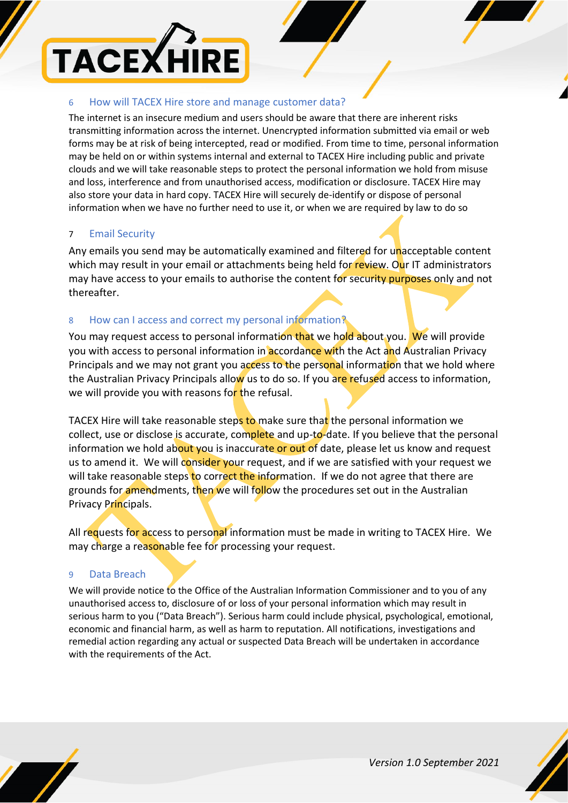

#### 6 How will TACEX Hire store and manage customer data?

The internet is an insecure medium and users should be aware that there are inherent risks transmitting information across the internet. Unencrypted information submitted via email or web forms may be at risk of being intercepted, read or modified. From time to time, personal information may be held on or within systems internal and external to TACEX Hire including public and private clouds and we will take reasonable steps to protect the personal information we hold from misuse and loss, interference and from unauthorised access, modification or disclosure. TACEX Hire may also store your data in hard copy. TACEX Hire will securely de-identify or dispose of personal information when we have no further need to use it, or when we are required by law to do so

## 7 Email Security

Any emails you send may be automatically examined and filtered for unacceptable content which may result in your email or attachments being held for review. Our IT administrators may have access to your emails to authorise the content for security purposes only and not thereafter.

# 8 How can I access and correct my personal information?

You may request access to personal information that we hold about you. We will provide you with access to personal information in **accordance with the Act and Australian Privacy** Principals and we may not grant you access to the personal information that we hold where the Australian Privacy Principals allow us to do so. If you are refused access to information, we will provide you with reasons for the refusal.

TACEX Hire will take reasonable steps to make sure that the personal information we collect, use or disclose is accurate, complete and up-to-date. If you believe that the personal information we hold about you is inaccurate or out of date, please let us know and request us to amend it. We will consider your request, and if we are satisfied with your request we will take reasonable steps to correct the information. If we do not agree that there are grounds for amendments, then we will follow the procedures set out in the Australian Privacy Principals.

All requests for access to personal information must be made in writing to TACEX Hire. We may charge a reasonable fee for processing your request.

## 9 Data Breach

We will provide notice to the Office of the Australian Information Commissioner and to you of any unauthorised access to, disclosure of or loss of your personal information which may result in serious harm to you ("Data Breach"). Serious harm could include physical, psychological, emotional, economic and financial harm, as well as harm to reputation. All notifications, investigations and remedial action regarding any actual or suspected Data Breach will be undertaken in accordance with the requirements of the Act.